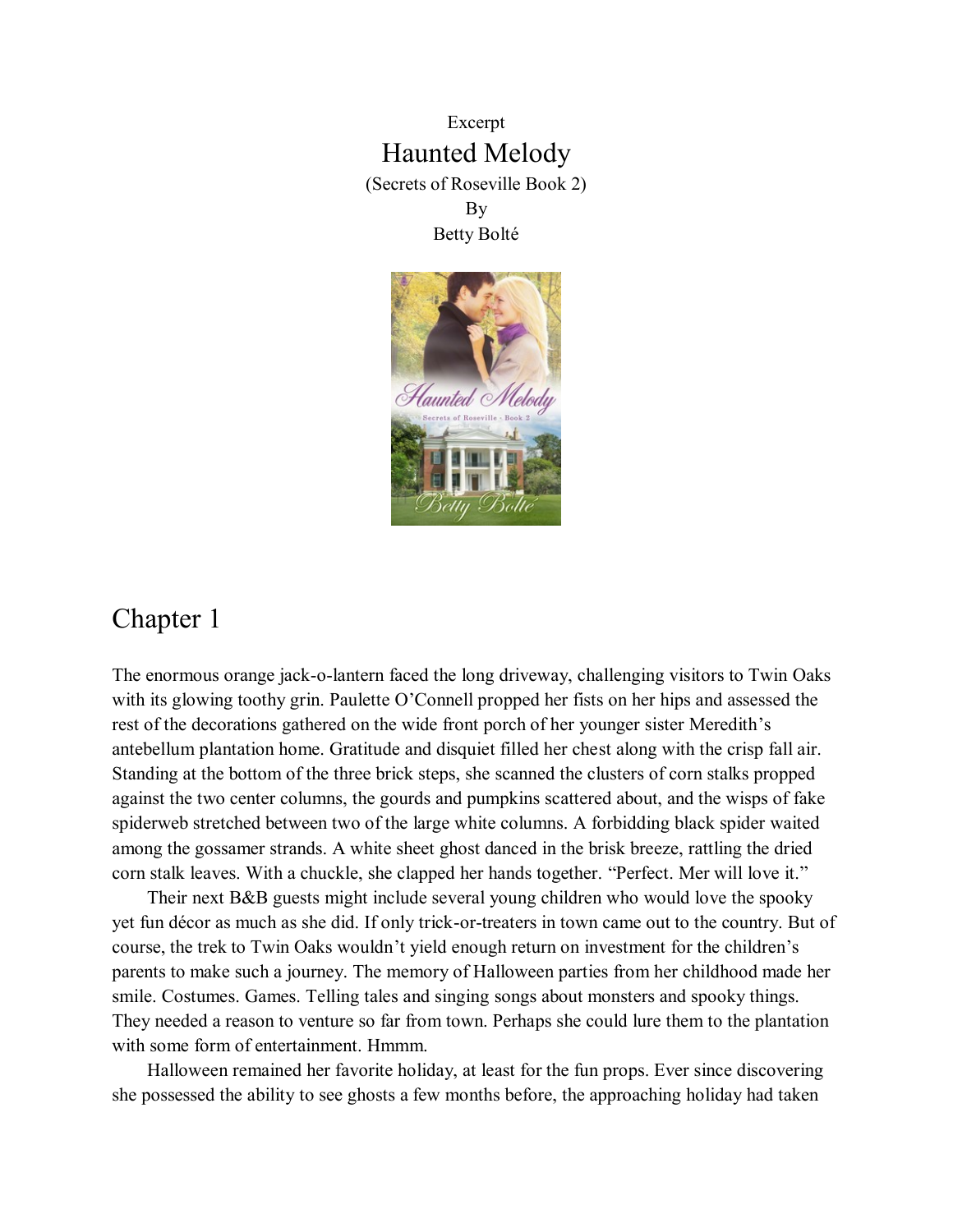Excerpt Haunted Melody (Secrets of Roseville Book 2) By Betty Bolté



## Chapter 1

The enormous orange jack-o-lantern faced the long driveway, challenging visitors to Twin Oaks with its glowing toothy grin. Paulette O'Connell propped her fists on her hips and assessed the rest of the decorations gathered on the wide front porch of her younger sister Meredith's antebellum plantation home. Gratitude and disquiet filled her chest along with the crisp fall air. Standing at the bottom of the three brick steps, she scanned the clusters of corn stalks propped against the two center columns, the gourds and pumpkins scattered about, and the wisps of fake spiderweb stretched between two of the large white columns. A forbidding black spider waited among the gossamer strands. A white sheet ghost danced in the brisk breeze, rattling the dried corn stalk leaves. With a chuckle, she clapped her hands together. "Perfect. Mer will love it."

Their next B&B guests might include several young children who would love the spooky yet fun décor as much as she did. If only trick-or-treaters in town came out to the country. But of course, the trek to Twin Oaks wouldn't yield enough return on investment for the children's parents to make such a journey. The memory of Halloween parties from her childhood made her smile. Costumes. Games. Telling tales and singing songs about monsters and spooky things. They needed a reason to venture so far from town. Perhaps she could lure them to the plantation with some form of entertainment. Hmmm.

Halloween remained her favorite holiday, at least for the fun props. Ever since discovering she possessed the ability to see ghosts a few months before, the approaching holiday had taken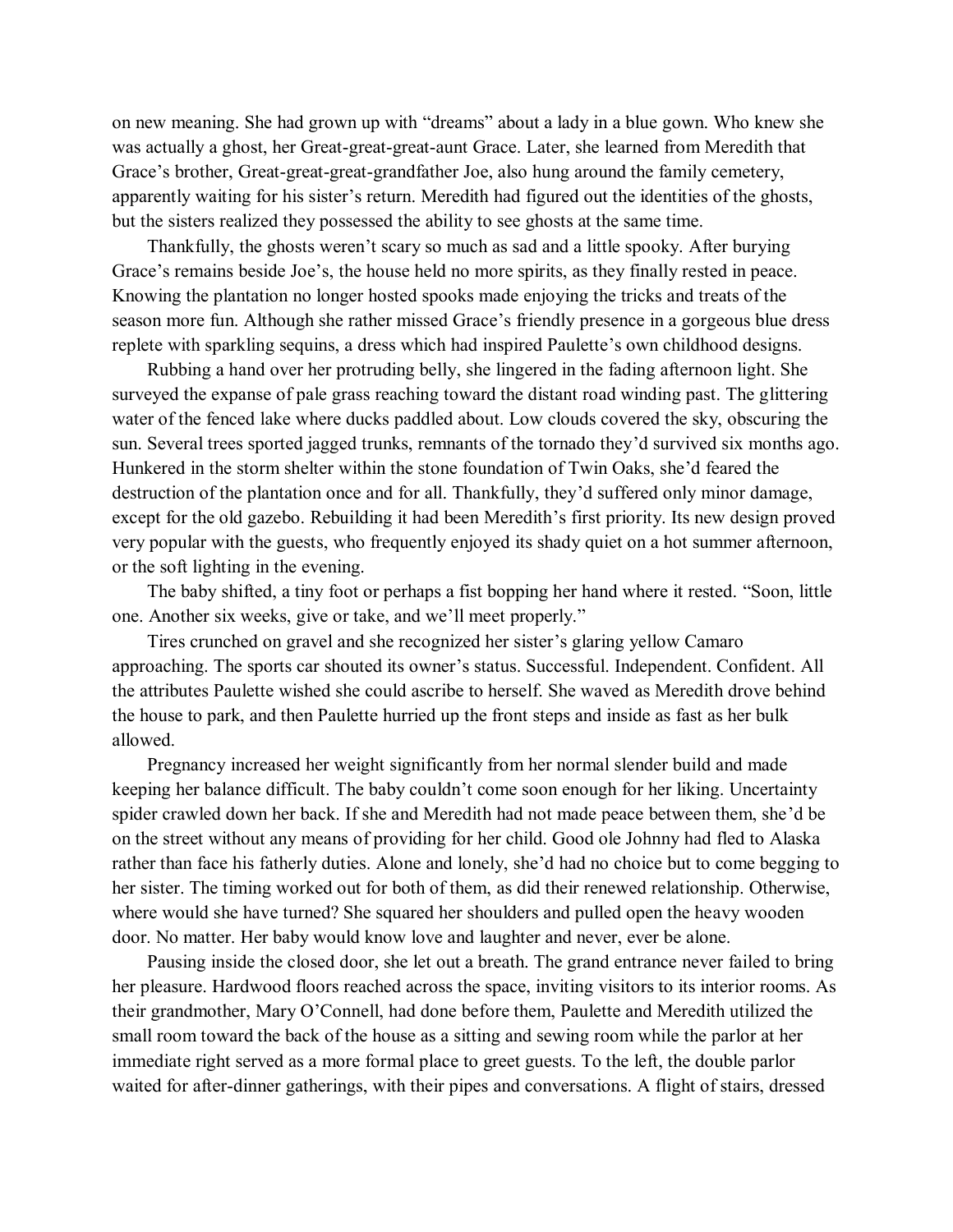on new meaning. She had grown up with "dreams" about a lady in a blue gown. Who knew she was actually a ghost, her Great-great-great-aunt Grace. Later, she learned from Meredith that Grace's brother, Great-great-great-grandfather Joe, also hung around the family cemetery, apparently waiting for his sister's return. Meredith had figured out the identities of the ghosts, but the sisters realized they possessed the ability to see ghosts at the same time.

Thankfully, the ghosts weren't scary so much as sad and a little spooky. After burying Grace's remains beside Joe's, the house held no more spirits, as they finally rested in peace. Knowing the plantation no longer hosted spooks made enjoying the tricks and treats of the season more fun. Although she rather missed Grace's friendly presence in a gorgeous blue dress replete with sparkling sequins, a dress which had inspired Paulette's own childhood designs.

Rubbing a hand over her protruding belly, she lingered in the fading afternoon light. She surveyed the expanse of pale grass reaching toward the distant road winding past. The glittering water of the fenced lake where ducks paddled about. Low clouds covered the sky, obscuring the sun. Several trees sported jagged trunks, remnants of the tornado they'd survived six months ago. Hunkered in the storm shelter within the stone foundation of Twin Oaks, she'd feared the destruction of the plantation once and for all. Thankfully, they'd suffered only minor damage, except for the old gazebo. Rebuilding it had been Meredith's first priority. Its new design proved very popular with the guests, who frequently enjoyed its shady quiet on a hot summer afternoon, or the soft lighting in the evening.

The baby shifted, a tiny foot or perhaps a fist bopping her hand where it rested. "Soon, little one. Another six weeks, give or take, and we'll meet properly."

Tires crunched on gravel and she recognized her sister's glaring yellow Camaro approaching. The sports car shouted its owner's status. Successful. Independent. Confident. All the attributes Paulette wished she could ascribe to herself. She waved as Meredith drove behind the house to park, and then Paulette hurried up the front steps and inside as fast as her bulk allowed.

Pregnancy increased her weight significantly from her normal slender build and made keeping her balance difficult. The baby couldn't come soon enough for her liking. Uncertainty spider crawled down her back. If she and Meredith had not made peace between them, she'd be on the street without any means of providing for her child. Good ole Johnny had fled to Alaska rather than face his fatherly duties. Alone and lonely, she'd had no choice but to come begging to her sister. The timing worked out for both of them, as did their renewed relationship. Otherwise, where would she have turned? She squared her shoulders and pulled open the heavy wooden door. No matter. Her baby would know love and laughter and never, ever be alone.

Pausing inside the closed door, she let out a breath. The grand entrance never failed to bring her pleasure. Hardwood floors reached across the space, inviting visitors to its interior rooms. As their grandmother, Mary O'Connell, had done before them, Paulette and Meredith utilized the small room toward the back of the house as a sitting and sewing room while the parlor at her immediate right served as a more formal place to greet guests. To the left, the double parlor waited for after-dinner gatherings, with their pipes and conversations. A flight of stairs, dressed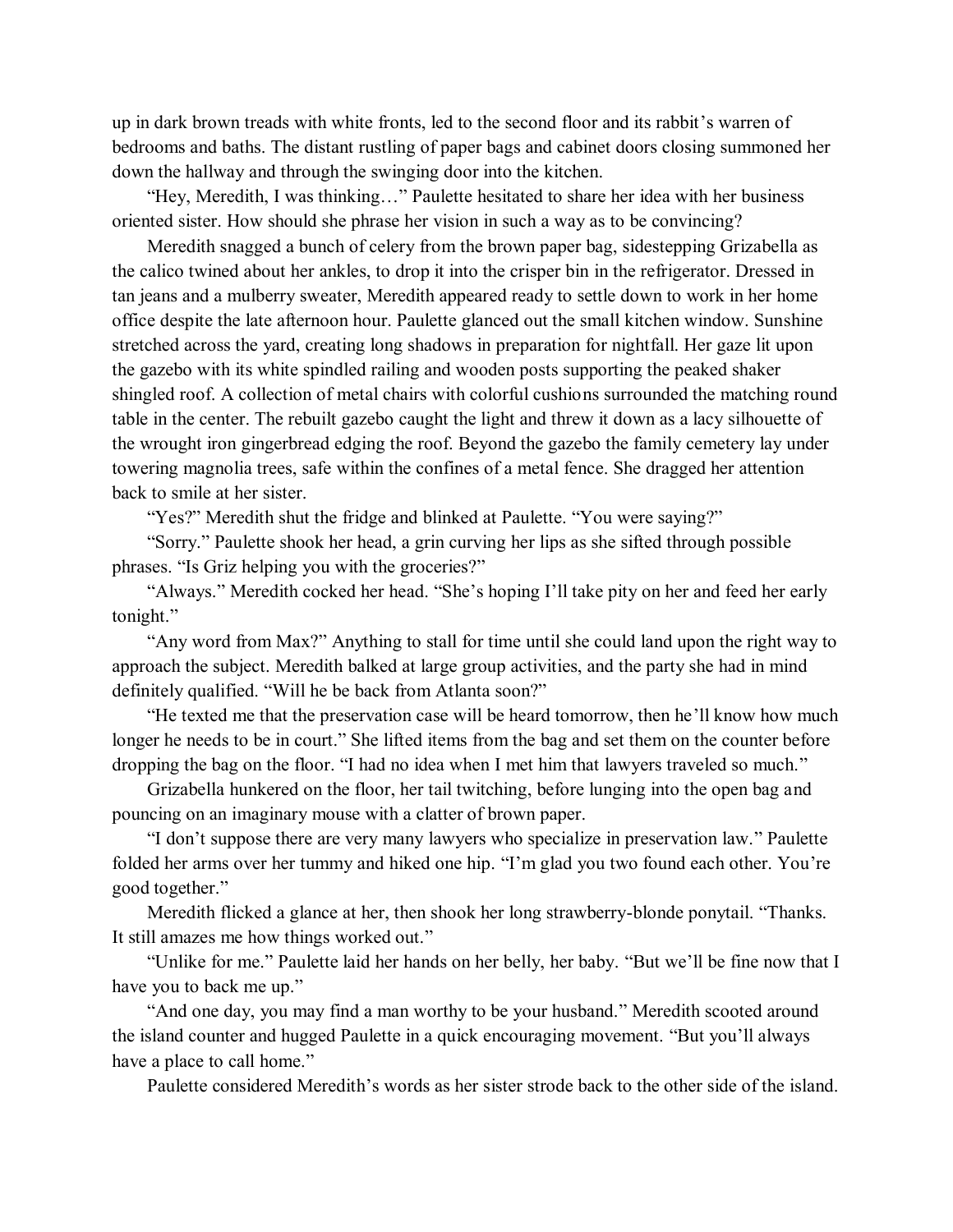up in dark brown treads with white fronts, led to the second floor and its rabbit's warren of bedrooms and baths. The distant rustling of paper bags and cabinet doors closing summoned her down the hallway and through the swinging door into the kitchen.

"Hey, Meredith, I was thinking…" Paulette hesitated to share her idea with her business oriented sister. How should she phrase her vision in such a way as to be convincing?

Meredith snagged a bunch of celery from the brown paper bag, sidestepping Grizabella as the calico twined about her ankles, to drop it into the crisper bin in the refrigerator. Dressed in tan jeans and a mulberry sweater, Meredith appeared ready to settle down to work in her home office despite the late afternoon hour. Paulette glanced out the small kitchen window. Sunshine stretched across the yard, creating long shadows in preparation for nightfall. Her gaze lit upon the gazebo with its white spindled railing and wooden posts supporting the peaked shaker shingled roof. A collection of metal chairs with colorful cushions surrounded the matching round table in the center. The rebuilt gazebo caught the light and threw it down as a lacy silhouette of the wrought iron gingerbread edging the roof. Beyond the gazebo the family cemetery lay under towering magnolia trees, safe within the confines of a metal fence. She dragged her attention back to smile at her sister.

"Yes?" Meredith shut the fridge and blinked at Paulette. "You were saying?"

"Sorry." Paulette shook her head, a grin curving her lips as she sifted through possible phrases. "Is Griz helping you with the groceries?"

"Always." Meredith cocked her head. "She's hoping I'll take pity on her and feed her early tonight."

"Any word from Max?" Anything to stall for time until she could land upon the right way to approach the subject. Meredith balked at large group activities, and the party she had in mind definitely qualified. "Will he be back from Atlanta soon?"

"He texted me that the preservation case will be heard tomorrow, then he'll know how much longer he needs to be in court." She lifted items from the bag and set them on the counter before dropping the bag on the floor. "I had no idea when I met him that lawyers traveled so much."

Grizabella hunkered on the floor, her tail twitching, before lunging into the open bag and pouncing on an imaginary mouse with a clatter of brown paper.

"I don't suppose there are very many lawyers who specialize in preservation law." Paulette folded her arms over her tummy and hiked one hip. "I'm glad you two found each other. You're good together."

Meredith flicked a glance at her, then shook her long strawberry-blonde ponytail. "Thanks. It still amazes me how things worked out."

"Unlike for me." Paulette laid her hands on her belly, her baby. "But we'll be fine now that I have you to back me up."

"And one day, you may find a man worthy to be your husband." Meredith scooted around the island counter and hugged Paulette in a quick encouraging movement. "But you'll always have a place to call home."

Paulette considered Meredith's words as her sister strode back to the other side of the island.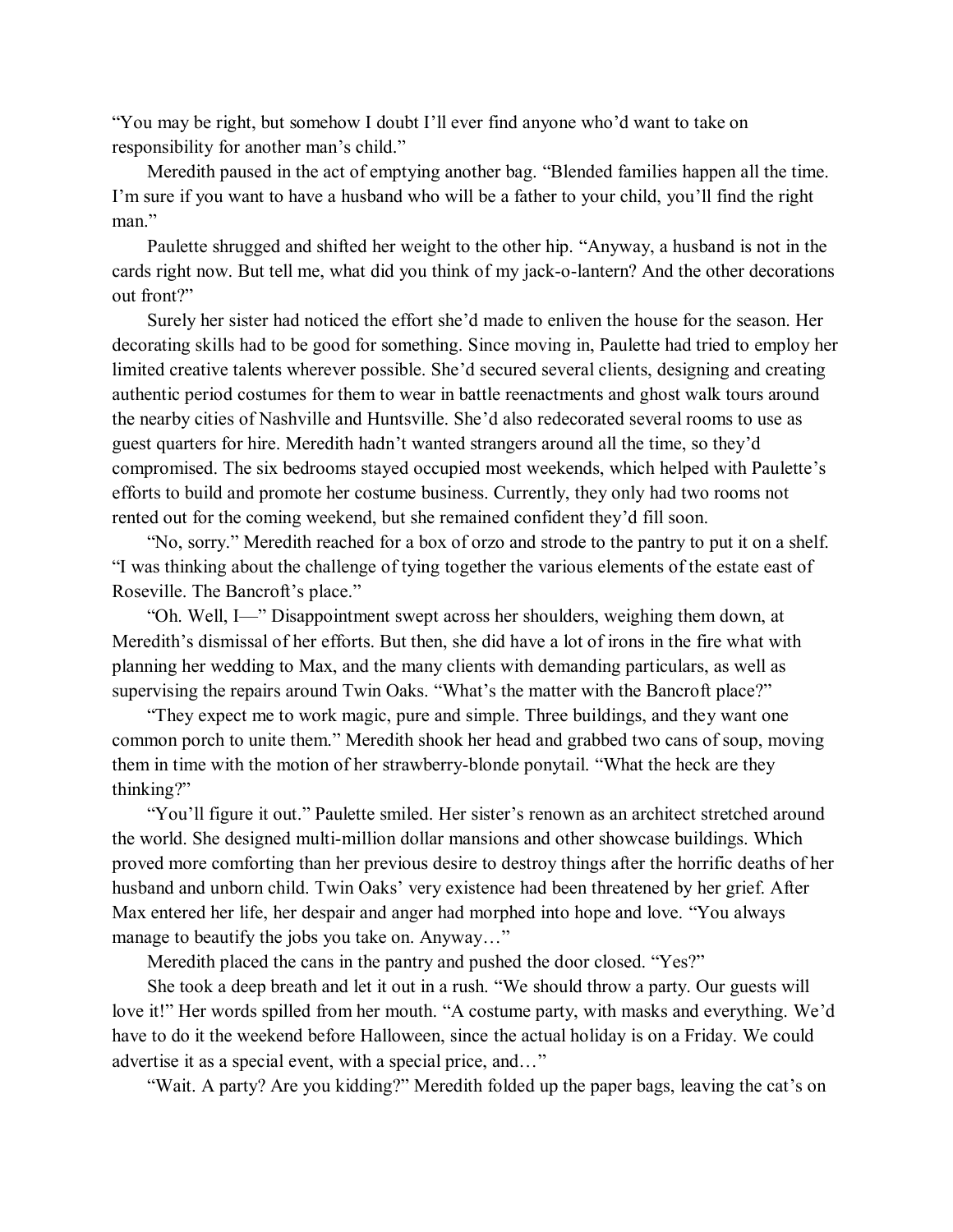"You may be right, but somehow I doubt I'll ever find anyone who'd want to take on responsibility for another man's child."

Meredith paused in the act of emptying another bag. "Blended families happen all the time. I'm sure if you want to have a husband who will be a father to your child, you'll find the right man."

Paulette shrugged and shifted her weight to the other hip. "Anyway, a husband is not in the cards right now. But tell me, what did you think of my jack-o-lantern? And the other decorations out front?"

Surely her sister had noticed the effort she'd made to enliven the house for the season. Her decorating skills had to be good for something. Since moving in, Paulette had tried to employ her limited creative talents wherever possible. She'd secured several clients, designing and creating authentic period costumes for them to wear in battle reenactments and ghost walk tours around the nearby cities of Nashville and Huntsville. She'd also redecorated several rooms to use as guest quarters for hire. Meredith hadn't wanted strangers around all the time, so they'd compromised. The six bedrooms stayed occupied most weekends, which helped with Paulette's efforts to build and promote her costume business. Currently, they only had two rooms not rented out for the coming weekend, but she remained confident they'd fill soon.

"No, sorry." Meredith reached for a box of orzo and strode to the pantry to put it on a shelf. "I was thinking about the challenge of tying together the various elements of the estate east of Roseville. The Bancroft's place."

"Oh. Well, I—" Disappointment swept across her shoulders, weighing them down, at Meredith's dismissal of her efforts. But then, she did have a lot of irons in the fire what with planning her wedding to Max, and the many clients with demanding particulars, as well as supervising the repairs around Twin Oaks. "What's the matter with the Bancroft place?"

"They expect me to work magic, pure and simple. Three buildings, and they want one common porch to unite them." Meredith shook her head and grabbed two cans of soup, moving them in time with the motion of her strawberry-blonde ponytail. "What the heck are they thinking?"

"You'll figure it out." Paulette smiled. Her sister's renown as an architect stretched around the world. She designed multi-million dollar mansions and other showcase buildings. Which proved more comforting than her previous desire to destroy things after the horrific deaths of her husband and unborn child. Twin Oaks' very existence had been threatened by her grief. After Max entered her life, her despair and anger had morphed into hope and love. "You always manage to beautify the jobs you take on. Anyway…"

Meredith placed the cans in the pantry and pushed the door closed. "Yes?"

She took a deep breath and let it out in a rush. "We should throw a party. Our guests will love it!" Her words spilled from her mouth. "A costume party, with masks and everything. We'd have to do it the weekend before Halloween, since the actual holiday is on a Friday. We could advertise it as a special event, with a special price, and…"

"Wait. A party? Are you kidding?" Meredith folded up the paper bags, leaving the cat's on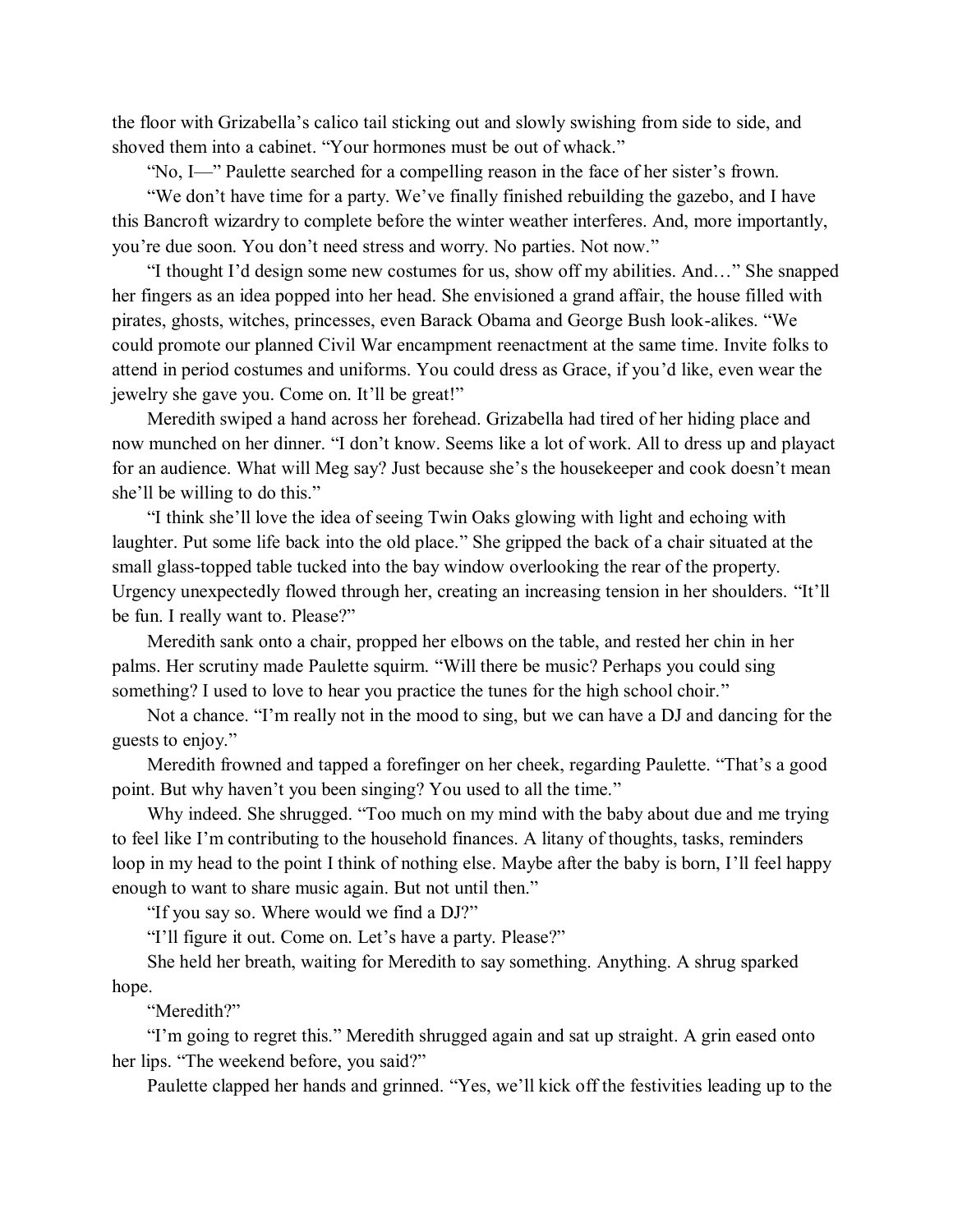the floor with Grizabella's calico tail sticking out and slowly swishing from side to side, and shoved them into a cabinet. "Your hormones must be out of whack."

"No, I—" Paulette searched for a compelling reason in the face of her sister's frown.

"We don't have time for a party. We've finally finished rebuilding the gazebo, and I have this Bancroft wizardry to complete before the winter weather interferes. And, more importantly, you're due soon. You don't need stress and worry. No parties. Not now."

"I thought I'd design some new costumes for us, show off my abilities. And…" She snapped her fingers as an idea popped into her head. She envisioned a grand affair, the house filled with pirates, ghosts, witches, princesses, even Barack Obama and George Bush look-alikes. "We could promote our planned Civil War encampment reenactment at the same time. Invite folks to attend in period costumes and uniforms. You could dress as Grace, if you'd like, even wear the jewelry she gave you. Come on. It'll be great!"

Meredith swiped a hand across her forehead. Grizabella had tired of her hiding place and now munched on her dinner. "I don't know. Seems like a lot of work. All to dress up and playact for an audience. What will Meg say? Just because she's the housekeeper and cook doesn't mean she'll be willing to do this."

"I think she'll love the idea of seeing Twin Oaks glowing with light and echoing with laughter. Put some life back into the old place." She gripped the back of a chair situated at the small glass-topped table tucked into the bay window overlooking the rear of the property. Urgency unexpectedly flowed through her, creating an increasing tension in her shoulders. "It'll be fun. I really want to. Please?"

Meredith sank onto a chair, propped her elbows on the table, and rested her chin in her palms. Her scrutiny made Paulette squirm. "Will there be music? Perhaps you could sing something? I used to love to hear you practice the tunes for the high school choir."

Not a chance. "I'm really not in the mood to sing, but we can have a DJ and dancing for the guests to enjoy."

Meredith frowned and tapped a forefinger on her cheek, regarding Paulette. "That's a good point. But why haven't you been singing? You used to all the time."

Why indeed. She shrugged. "Too much on my mind with the baby about due and me trying to feel like I'm contributing to the household finances. A litany of thoughts, tasks, reminders loop in my head to the point I think of nothing else. Maybe after the baby is born, I'll feel happy enough to want to share music again. But not until then."

"If you say so. Where would we find a DJ?"

"I'll figure it out. Come on. Let's have a party. Please?"

She held her breath, waiting for Meredith to say something. Anything. A shrug sparked hope.

"Meredith?"

"I'm going to regret this." Meredith shrugged again and sat up straight. A grin eased onto her lips. "The weekend before, you said?"

Paulette clapped her hands and grinned. "Yes, we'll kick off the festivities leading up to the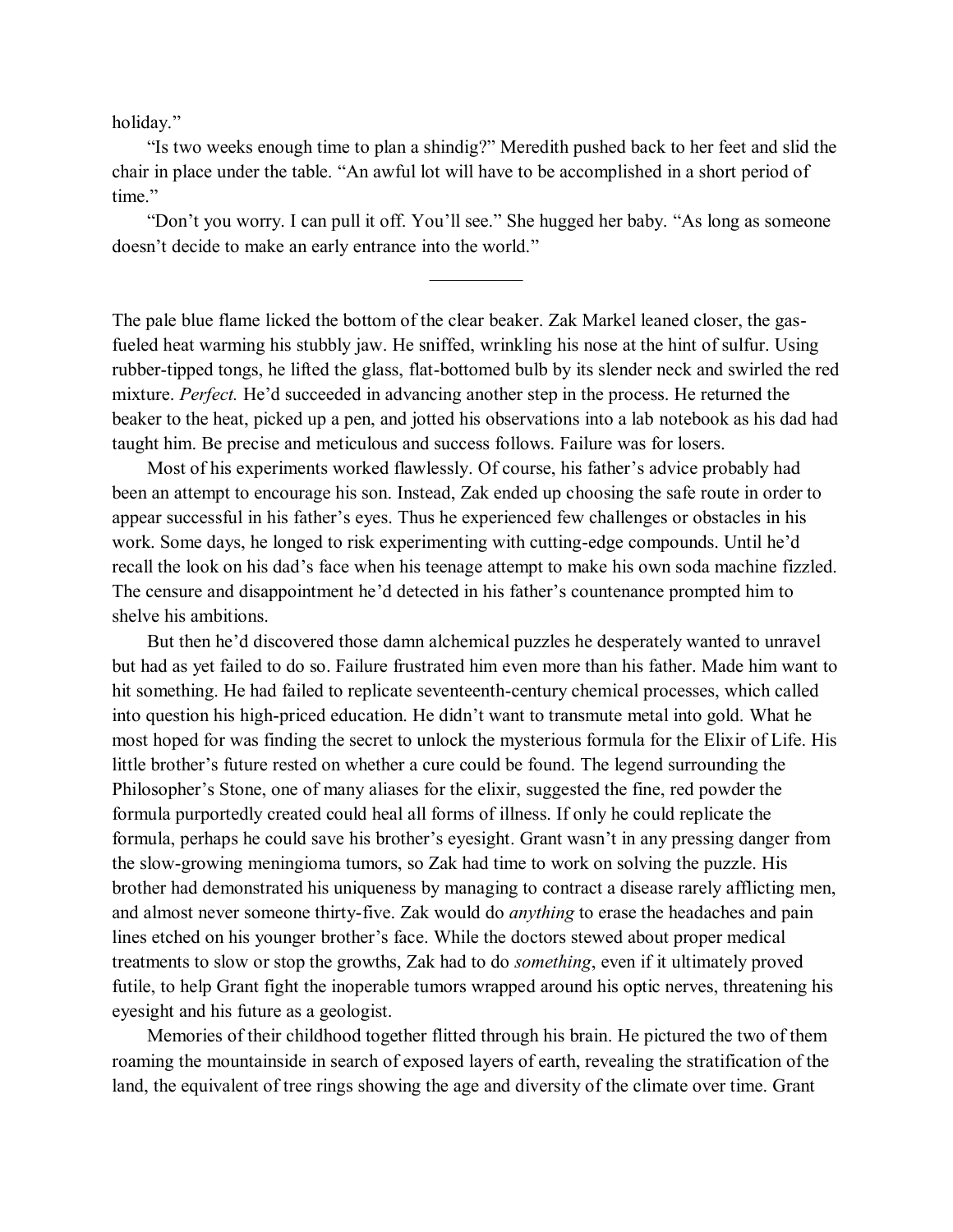holiday."

"Is two weeks enough time to plan a shindig?" Meredith pushed back to her feet and slid the chair in place under the table. "An awful lot will have to be accomplished in a short period of time."

"Don't you worry. I can pull it off. You'll see." She hugged her baby. "As long as someone doesn't decide to make an early entrance into the world."

The pale blue flame licked the bottom of the clear beaker. Zak Markel leaned closer, the gasfueled heat warming his stubbly jaw. He sniffed, wrinkling his nose at the hint of sulfur. Using rubber-tipped tongs, he lifted the glass, flat-bottomed bulb by its slender neck and swirled the red mixture. *Perfect.* He'd succeeded in advancing another step in the process. He returned the beaker to the heat, picked up a pen, and jotted his observations into a lab notebook as his dad had taught him. Be precise and meticulous and success follows. Failure was for losers.

Most of his experiments worked flawlessly. Of course, his father's advice probably had been an attempt to encourage his son. Instead, Zak ended up choosing the safe route in order to appear successful in his father's eyes. Thus he experienced few challenges or obstacles in his work. Some days, he longed to risk experimenting with cutting-edge compounds. Until he'd recall the look on his dad's face when his teenage attempt to make his own soda machine fizzled. The censure and disappointment he'd detected in his father's countenance prompted him to shelve his ambitions.

But then he'd discovered those damn alchemical puzzles he desperately wanted to unravel but had as yet failed to do so. Failure frustrated him even more than his father. Made him want to hit something. He had failed to replicate seventeenth-century chemical processes, which called into question his high-priced education. He didn't want to transmute metal into gold. What he most hoped for was finding the secret to unlock the mysterious formula for the Elixir of Life. His little brother's future rested on whether a cure could be found. The legend surrounding the Philosopher's Stone, one of many aliases for the elixir, suggested the fine, red powder the formula purportedly created could heal all forms of illness. If only he could replicate the formula, perhaps he could save his brother's eyesight. Grant wasn't in any pressing danger from the slow-growing meningioma tumors, so Zak had time to work on solving the puzzle. His brother had demonstrated his uniqueness by managing to contract a disease rarely afflicting men, and almost never someone thirty-five. Zak would do *anything* to erase the headaches and pain lines etched on his younger brother's face. While the doctors stewed about proper medical treatments to slow or stop the growths, Zak had to do *something*, even if it ultimately proved futile, to help Grant fight the inoperable tumors wrapped around his optic nerves, threatening his eyesight and his future as a geologist.

Memories of their childhood together flitted through his brain. He pictured the two of them roaming the mountainside in search of exposed layers of earth, revealing the stratification of the land, the equivalent of tree rings showing the age and diversity of the climate over time. Grant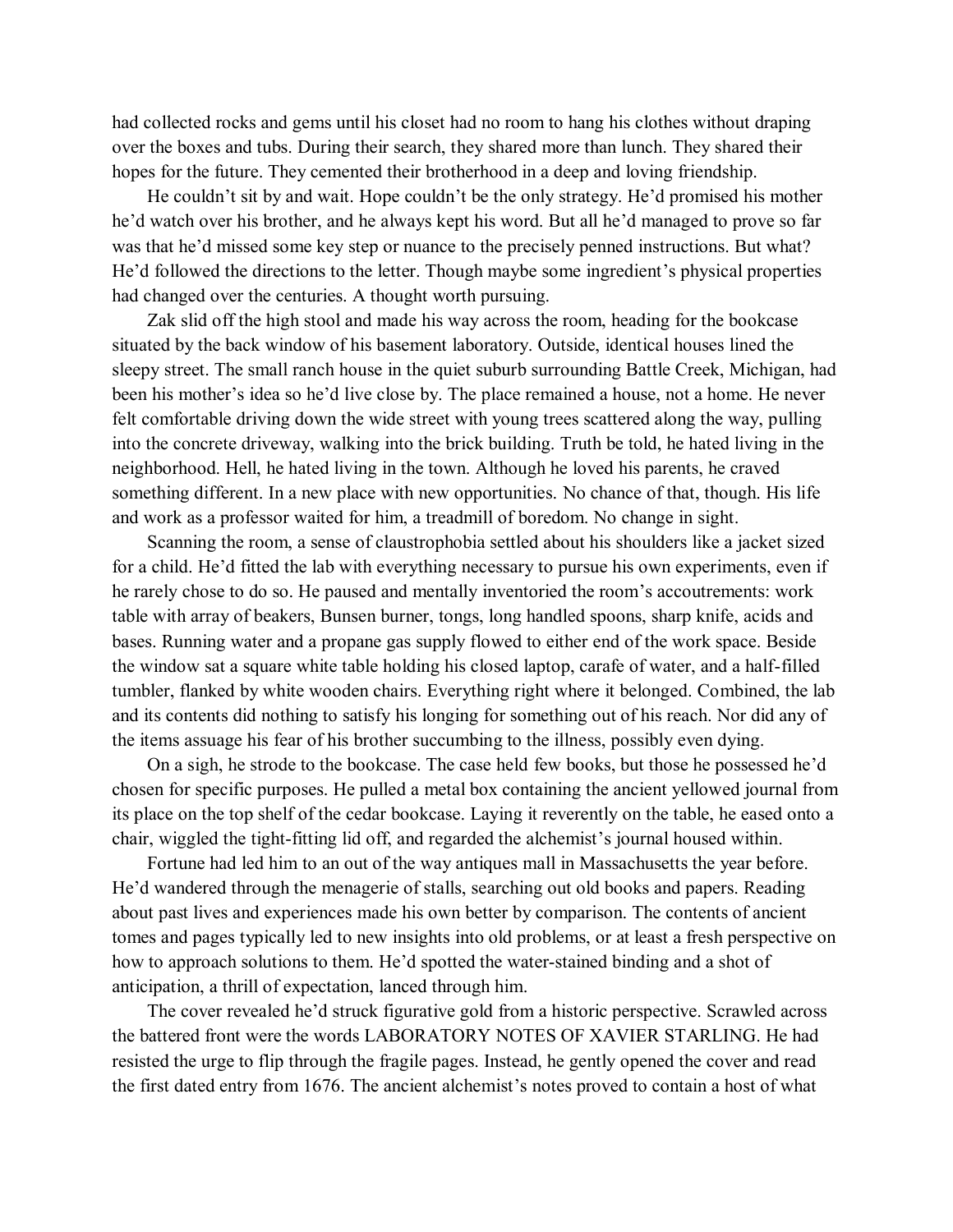had collected rocks and gems until his closet had no room to hang his clothes without draping over the boxes and tubs. During their search, they shared more than lunch. They shared their hopes for the future. They cemented their brotherhood in a deep and loving friendship.

He couldn't sit by and wait. Hope couldn't be the only strategy. He'd promised his mother he'd watch over his brother, and he always kept his word. But all he'd managed to prove so far was that he'd missed some key step or nuance to the precisely penned instructions. But what? He'd followed the directions to the letter. Though maybe some ingredient's physical properties had changed over the centuries. A thought worth pursuing.

Zak slid off the high stool and made his way across the room, heading for the bookcase situated by the back window of his basement laboratory. Outside, identical houses lined the sleepy street. The small ranch house in the quiet suburb surrounding Battle Creek, Michigan, had been his mother's idea so he'd live close by. The place remained a house, not a home. He never felt comfortable driving down the wide street with young trees scattered along the way, pulling into the concrete driveway, walking into the brick building. Truth be told, he hated living in the neighborhood. Hell, he hated living in the town. Although he loved his parents, he craved something different. In a new place with new opportunities. No chance of that, though. His life and work as a professor waited for him, a treadmill of boredom. No change in sight.

Scanning the room, a sense of claustrophobia settled about his shoulders like a jacket sized for a child. He'd fitted the lab with everything necessary to pursue his own experiments, even if he rarely chose to do so. He paused and mentally inventoried the room's accoutrements: work table with array of beakers, Bunsen burner, tongs, long handled spoons, sharp knife, acids and bases. Running water and a propane gas supply flowed to either end of the work space. Beside the window sat a square white table holding his closed laptop, carafe of water, and a half-filled tumbler, flanked by white wooden chairs. Everything right where it belonged. Combined, the lab and its contents did nothing to satisfy his longing for something out of his reach. Nor did any of the items assuage his fear of his brother succumbing to the illness, possibly even dying.

On a sigh, he strode to the bookcase. The case held few books, but those he possessed he'd chosen for specific purposes. He pulled a metal box containing the ancient yellowed journal from its place on the top shelf of the cedar bookcase. Laying it reverently on the table, he eased onto a chair, wiggled the tight-fitting lid off, and regarded the alchemist's journal housed within.

Fortune had led him to an out of the way antiques mall in Massachusetts the year before. He'd wandered through the menagerie of stalls, searching out old books and papers. Reading about past lives and experiences made his own better by comparison. The contents of ancient tomes and pages typically led to new insights into old problems, or at least a fresh perspective on how to approach solutions to them. He'd spotted the water-stained binding and a shot of anticipation, a thrill of expectation, lanced through him.

The cover revealed he'd struck figurative gold from a historic perspective. Scrawled across the battered front were the words LABORATORY NOTES OF XAVIER STARLING. He had resisted the urge to flip through the fragile pages. Instead, he gently opened the cover and read the first dated entry from 1676. The ancient alchemist's notes proved to contain a host of what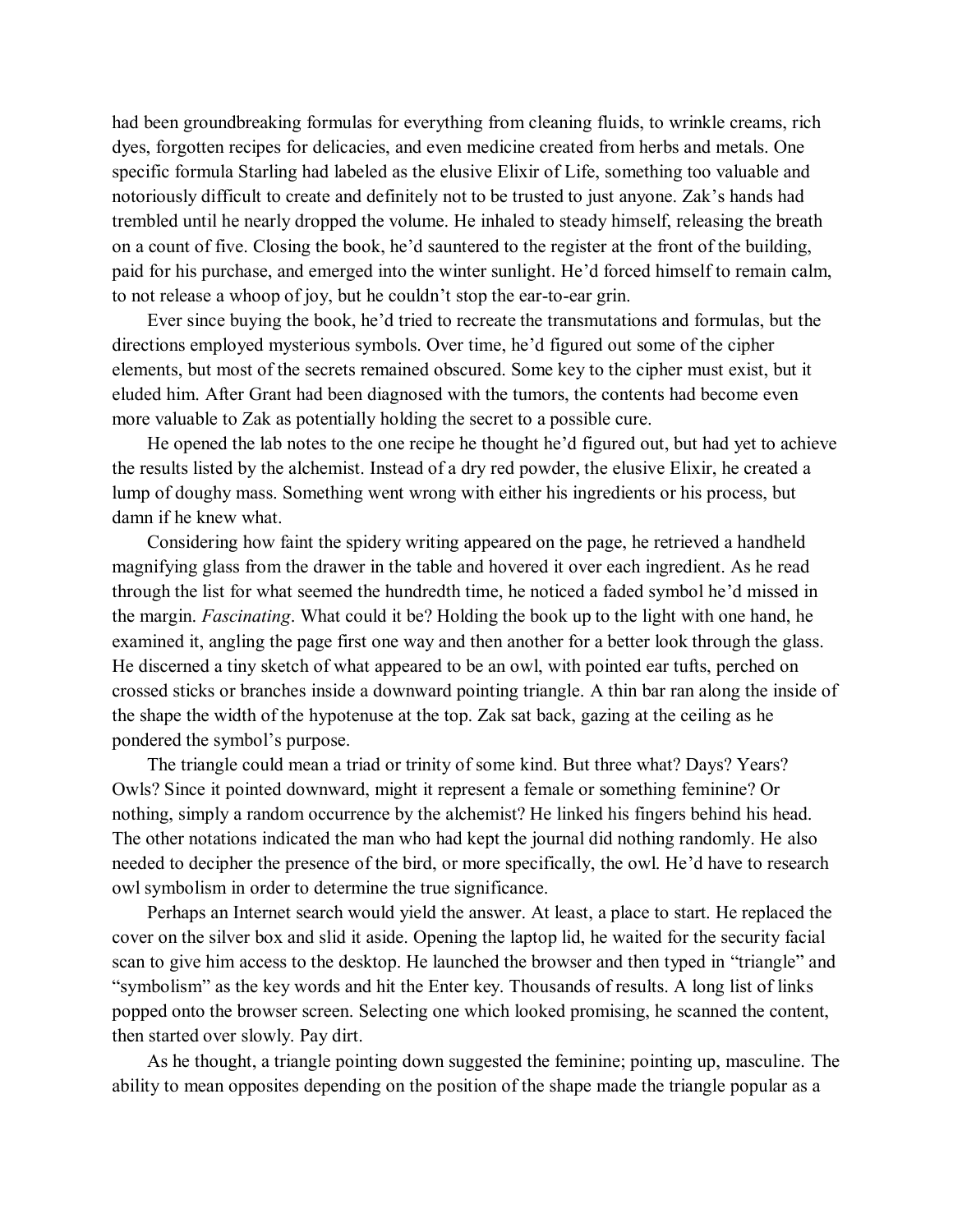had been groundbreaking formulas for everything from cleaning fluids, to wrinkle creams, rich dyes, forgotten recipes for delicacies, and even medicine created from herbs and metals. One specific formula Starling had labeled as the elusive Elixir of Life, something too valuable and notoriously difficult to create and definitely not to be trusted to just anyone. Zak's hands had trembled until he nearly dropped the volume. He inhaled to steady himself, releasing the breath on a count of five. Closing the book, he'd sauntered to the register at the front of the building, paid for his purchase, and emerged into the winter sunlight. He'd forced himself to remain calm, to not release a whoop of joy, but he couldn't stop the ear-to-ear grin.

Ever since buying the book, he'd tried to recreate the transmutations and formulas, but the directions employed mysterious symbols. Over time, he'd figured out some of the cipher elements, but most of the secrets remained obscured. Some key to the cipher must exist, but it eluded him. After Grant had been diagnosed with the tumors, the contents had become even more valuable to Zak as potentially holding the secret to a possible cure.

He opened the lab notes to the one recipe he thought he'd figured out, but had yet to achieve the results listed by the alchemist. Instead of a dry red powder, the elusive Elixir, he created a lump of doughy mass. Something went wrong with either his ingredients or his process, but damn if he knew what.

Considering how faint the spidery writing appeared on the page, he retrieved a handheld magnifying glass from the drawer in the table and hovered it over each ingredient. As he read through the list for what seemed the hundredth time, he noticed a faded symbol he'd missed in the margin. *Fascinating*. What could it be? Holding the book up to the light with one hand, he examined it, angling the page first one way and then another for a better look through the glass. He discerned a tiny sketch of what appeared to be an owl, with pointed ear tufts, perched on crossed sticks or branches inside a downward pointing triangle. A thin bar ran along the inside of the shape the width of the hypotenuse at the top. Zak sat back, gazing at the ceiling as he pondered the symbol's purpose.

The triangle could mean a triad or trinity of some kind. But three what? Days? Years? Owls? Since it pointed downward, might it represent a female or something feminine? Or nothing, simply a random occurrence by the alchemist? He linked his fingers behind his head. The other notations indicated the man who had kept the journal did nothing randomly. He also needed to decipher the presence of the bird, or more specifically, the owl. He'd have to research owl symbolism in order to determine the true significance.

Perhaps an Internet search would yield the answer. At least, a place to start. He replaced the cover on the silver box and slid it aside. Opening the laptop lid, he waited for the security facial scan to give him access to the desktop. He launched the browser and then typed in "triangle" and "symbolism" as the key words and hit the Enter key. Thousands of results. A long list of links popped onto the browser screen. Selecting one which looked promising, he scanned the content, then started over slowly. Pay dirt.

As he thought, a triangle pointing down suggested the feminine; pointing up, masculine. The ability to mean opposites depending on the position of the shape made the triangle popular as a